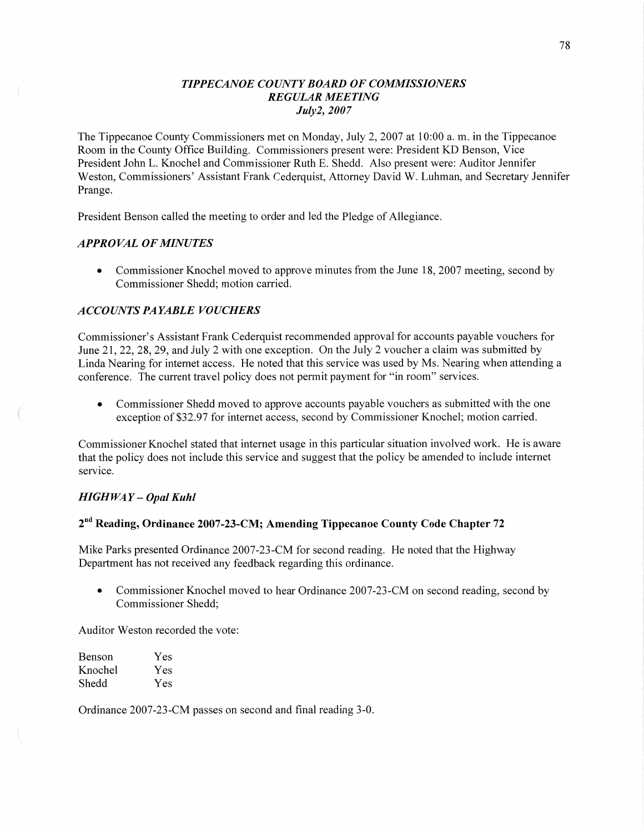## *T IPPECANOE COUNT Y BOARD* OF *COMMISSIONERS REGULAR MEETING JulyZ, 2007*

The Tippecanoe County Commissioners met on Monday, July 2, 2007 at 10:00 a. m. in the Tippecanoe Room in the County Office Building. Commissioners present were: President KD Benson, Vice President John L. Knochel and Commissioner Ruth B. Shedd. Also present were: Auditor Jennifer Weston, Commissioners' Assistant Frank Cederquist, Attorney David W. Luhman, and Secretary Jennifer Prange.

President Benson called the meeting to order and led the Pledge of Allegiance.

## *APPROVAL* OF *MINUTES*

• Commissioner Knochel moved to approve minutes from the June 18, 2007 meeting, second by Commissioner Shedd; motion carried.

# *ACCOUNTS* PA *YABLE VOUCHERS*

Commissioner's Assistant Frank Cederquist recommended approval for accounts payable vouchers for June 21, 22, 28, 29, and July 2 with one exception. On the July 2 voucher **a** claim was submitted by Linda Nearing for internet access. He noted that this service was used by Ms. Nearing when attending a conference. The current travel policy does not permit payment for "in room" services.

**0** Commissioner Shedd moved to approve accounts payable vouchers as submitted with the one exception of \$32.97 for internet access, second by Commissioner Knochel; motion carried.

Commissioner Knochel stated that internet usage in this particular situation involved work. He is aware **that** the policy does not include this service and suggest that the policy be amended to include internet service.

### *HIGHWAY* **—** *Opal Kuhl*

# 2"d Reading, **Ordinance 2007-23-CM; Amending Tippecanoe County Code Chapter** 72

Mike Parks presented Ordinance 2007-23 -CM for second reading. He noted that the Highway Department has not received any feedback regarding this ordinance.

Commissioner Knochel moved to hear Ordinance 2007-23-CM on second reading, second by Commissioner Shedd;

Auditor Weston recorded the vote:

| Benson  | Yes |
|---------|-----|
| Knochel | Yes |
| Shedd   | Yes |

Ordinance 2007-23 -CM passes on second and final reading 3-0.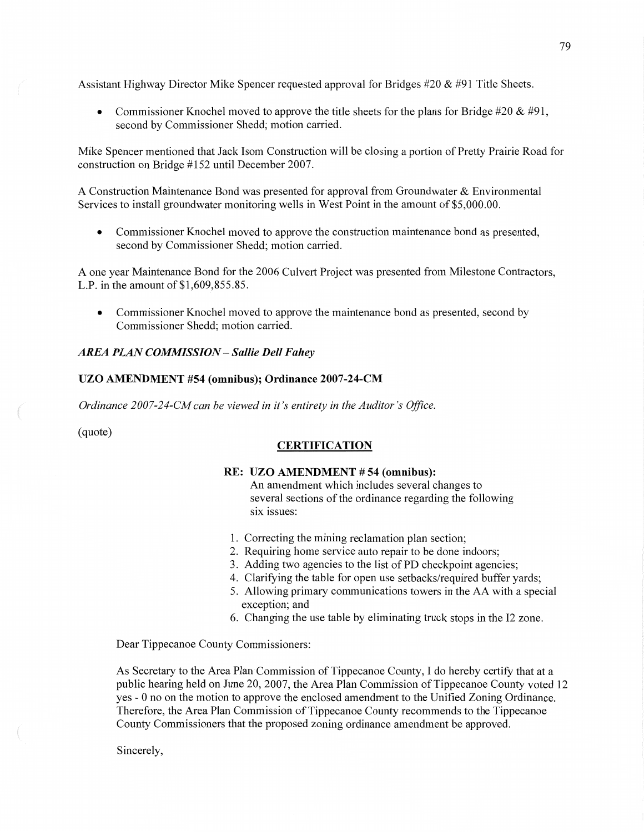Assistant Highway Director Mike Spencer requested approval for Bridges  $\#20 \& \#91$  Title Sheets.

**0** Commissioner Knochel moved to approve the title sheets for the plans for Bridge #20 & **#91,**  second by Commissioner Shedd; motion carried.

Mike Spencer mentioned that Jack Isom Construction will be closing a portion of Pretty Prairie Road for construction on Bridge #152 until December 2007.

**A** Construction Maintenance Bond was presented for approval from Groundwater & Environmental Services to install groundwater monitoring wells in West Point in the amount of \$5,000.00.

**0** Commissioner Knochel moved to approve the construction maintenance bond as presented, second by Commissioner Shedd; motion carried.

**A** one year Maintenance Bond for the 2006 Culvert Project was presented from Milestone Contractors, LP. in the amount of \$1,609,855.85.

**-** Commissioner Knochel moved to approve the maintenance bond as presented, second by Commissioner Shedd; motion carried.

#### *AREA PLAN COMMISSION* **—** *Sallie Dell Fahey*

#### UZO **ANIENDMENT** #54 **(omnibus); Ordinance 2007-24-CM**

*Ordinance 2007—24—CM* can be *viewed* in it 's *entirely* in the *Auditor* 's *Oflice.* 

(quote)

# **CERTIFICATION**

### RE: UZO **AMENDMENT #** 54 **(omnibus):**

An amendment which includes several changes to several sections of the ordinance regarding the following six issues: fike Spencer requested approval for Bridges #20 & #91 Title Sheets.<br>
el moved to approve the title sheets for the plans for Bridge #20 & #91<br>
ner Shedd; motion carried.<br>
Mail December 2007.<br>
Should was presented for approv

- 1. Correcting the mining reclamation plan section;
- 2. Requiring home service auto repair to be done indoors;
- Adding two agencies to the list of PD checkpoint agencies;
- Clarifying the table for open use setbacks/required buffer yards;
- Allowing primary communications towers in the AA with a special exception; and
- 6. Changing the use table by eliminating truck stops in the I2 zone.

Dear Tippecanoe County Commissioners:

As Secretary to the Area Plan'Commission of Tippecanoe County, **I** do hereby certify **that** at a public hearing held on June 20, 2007, the Area Plan Commission of Tippecanoe County voted 12 yes *-* **0** no on the motion to approve the enclosed amendment to the Unified Zoning Ordinance. Therefore, the Area Plan Commission of Tippecanoe County recommends to the Tippecanoe County Commissioners **that** the proposed zoning ordinance amendment be approved.

Sincerely,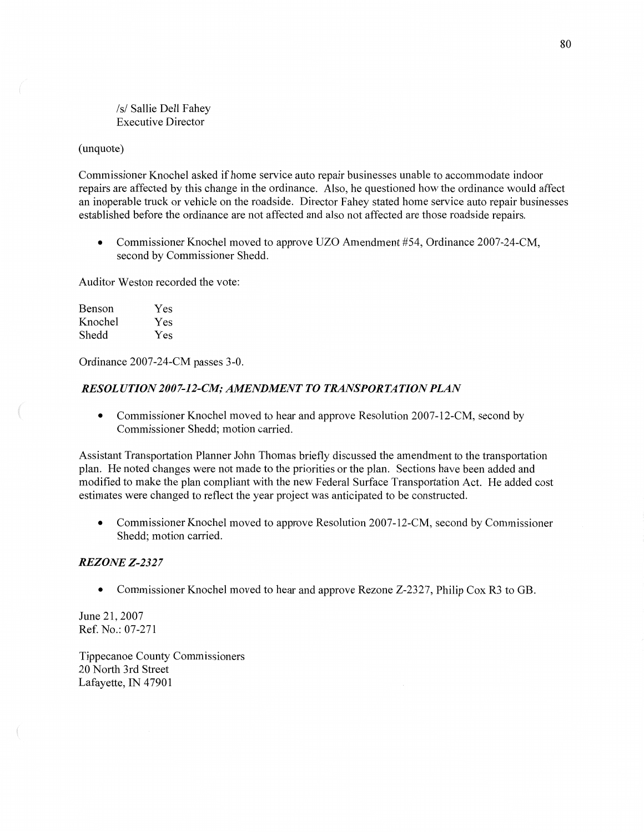/s/ Sallie Dell Fahey Executive Director

#### (unquote)

Commissioner Knochel asked if home service auto repair businesses unable to accommodate indoor repairs are affected by this change in the ordinance. Also, he questioned how the ordinance would affect an inoperable truck or vehicle on the roadside. Director Fahey stated home service auto repair businesses established before the ordinance are not affected and also not affected are those roadside repairs.

**0** Commissioner Knochel moved to approve UZO Amendment #54, Ordinance 2007-24-CM, second by Commissioner Shedd.

Auditor Weston recorded the vote:

| Benson  | Yes |
|---------|-----|
| Knochel | Yes |
| Shedd   | Yes |

Ordinance 2007-24-CM passes 3-0.

### *RESOL U TION* 200 *7-12-C1W; AMENDMENT* TO *TRANSPOR* TA *TION PLAN*

• Commissioner Knochel moved to hear and approve Resolution 2007-12-CM, second by Commissioner Shedd; motion carried.

Assistant Transportation Planner John Thomas briefly discussed the amendment to the transportation plan. He noted changes were not made to the priorities or the plan. Sections have been added and modified to make the plan compliant with the new Federal Surface Transportation Act. He added cost estimates were changed to reflect the year project was anticipated to be constructed.

• Commissioner Knochel moved to approve Resolution 2007-12-CM, second by Commissioner Shedd; motion carried.

#### *REZONE Z-232 7*

fan-hi

**0** Commissioner Knochel moved to hear and approve Rezone Z-2327, Philip Cox R3 to GB.

June 21, 2007 Ref. No.: 07-271

Tippecanoe County Commissioners 20 North 3rd Street Lafayette, IN 47901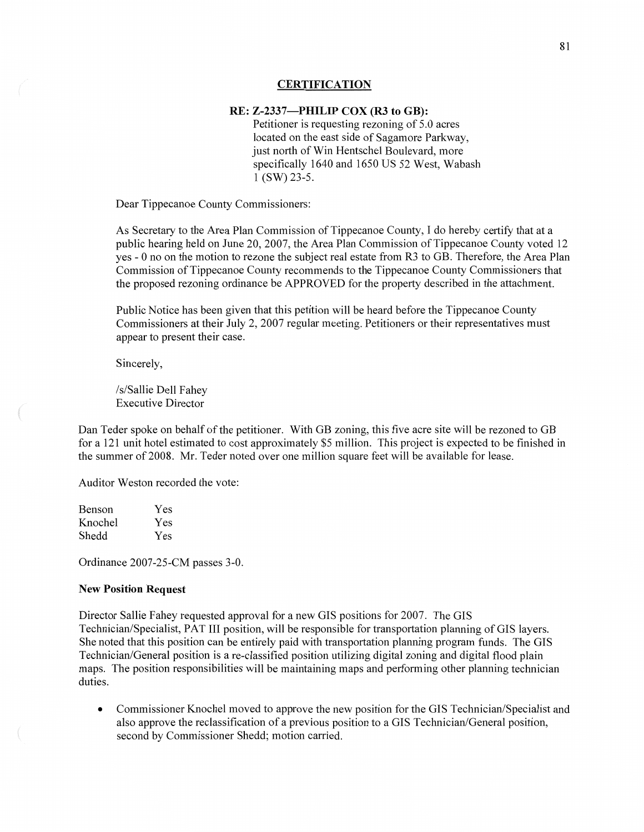#### **CERTIFICATION**

#### RE: **Z-2337—PHILIP** COX (R3 to **GB):**

Petitioner is requesting rezoning of 5.0 acres located on the east side of Sagamore Parkway, just north of Win Hentschel Boulevard, more specifically 1640 and 1650 US 52 West, Wabash 1 (SW) 23-5.

Dear Tippecanoe County Commissioners:

As Secretary to the Area Plan Commission of Tippecanoe County, I do hereby certify that at <sup>a</sup> public hearing held on June 20, 2007, the Area **Plan** Commission of Tippecanoe County voted 12 yes *-* 0 no on the motion to rezone the subject real estate from R3 to GB. Therefore, the Area **Plan**  Commission of Tippecanoe County recommends to the Tippecanoe County Commissioners **that**  the proposed rezoning ordinance be **APPROVED** for the property described in the attachment.

Public Notice has been given that this petition will be heard before the Tippecanoe County Commissioners at their July 2, 2007 regular meeting. Petitioners or their representatives must appear to present their case.

Sincerely,

/s/Sallie Dell Fahey Executive Director

Dan Teder spoke on behalf of the petitioner. With GB zoning, this five acre site will be rezoned to GB for **a** 121 unit hotel estimated to cost approximately \$5 million. This project is expected to be finished in the summer of 2008. Mr. Teder noted over one million square feet will be available for lease.

Auditor Weston recorded the vote:

Benson Yes Knochel Yes Shedd Yes

Ordinance 2007-25-CM passes 3-0.

#### New **Position Request**

Director Sallie Fahey requested approval for a new GIS positions for 2007. The GIS Technician/ Specialist, PAT III position, Will be responsible for transportation planning of GIS layers. She noted that this position can be entirely paid with transportation planning program funds. The GIS Technician/General position is a re-classified position utilizing digital zoning and digital flood plain maps. The position responsibilities will be maintaining maps and performing other planning technician duties.

**0** Commissioner Knochel moved to approve the new position for the GIS Technician/Specialist and also approve the reclassification of a previous position to **a** GIS Technician/General position, second by Commissioner Shedd; motion carried.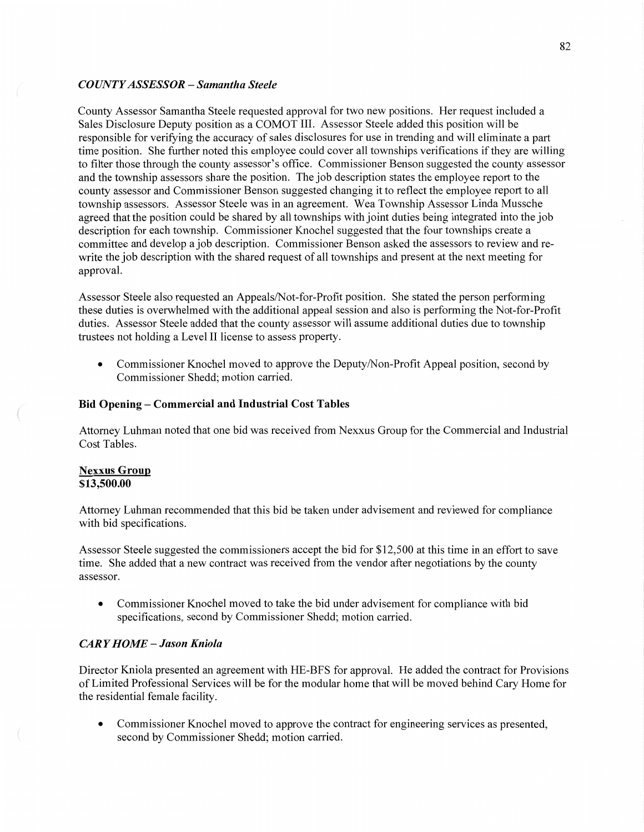#### *COUNTY ASSESSOR* **—** *Samantha Steele*

County Assessor Samantha Steele requested approval for two new positions. Her request included **<sup>a</sup>** Sales Disclosure Deputy position as a COMOT **III.** Assessor Steele added this position will be responsible for verifying the accuracy of sales disclosures for use in trending and will eliminate a part time position. She further noted this employee could cover all townships verifications if they are willing to filter those through the county assessor's office. Commissioner Benson suggested the county assessor and the township assessors share the position. The job description states the employee report to the county assessor and Commissioner Benson suggested changing it to reflect the employee report to all township assessors. Assessor Steele was in an agreement. Wea Township Assessor Linda Mussche agreed that the position could be shared by all townships with joint duties being integrated into the job description for each township. Commissioner Knochel suggested that the four townships create a committee and develop **a** job description. Commissioner Benson asked the assessors to review and rewrite the job description with the shared request of all townships and present at the next meeting for approval.

Assessor Steele also requested an Appeals/Not-for—Profit position. She stated the person performing ' these duties is overwhelmed with the additional appeal session and also is performing the Not-for-Profit *'*  duties. Assessor Steele added **that** the county assessor will assume additional duties due to township trustees not holding a Level II license to assess property.

**0** Commissioner Knochel moved to approve the Deputy/Non—Profit Appeal position, second by Commissioner Shedd; motion carried.

### Bid **Opening** — **Commercial** and **Industrial Cost Tables**

Attorney **Luhman** noted that one bid was received from Nexxus Group for the Commercial and Industrial Cost Tables.

## **Nexxus Group \$13,500.00**

*/* 3:"m

Attorney Luhman recommended **that** this bid be **taken** under advisement and reviewed for compliance with bid specifications.

Assessor Steele suggested the commissioners accept the bid for \$12,500 at this time in an effort to save time. She added **that** a new contract was received from the vendor after negotiations by the county assessor.

• Commissioner Knochel moved to take the bid under advisement for compliance with bid specifications, second by Commissioner Shedd; motion carried.

### *CARY HOME* **—** *Jason Kniola*

Director Kniola presented an agreement with HE-BFS for approval. He added the contract for Provisions of Limited Professional Services will be for the modular home that will be moved behind Cary Home for the residential female facility.

**0** Commissioner Knochel moved to approve the contract for engineering services as presented, **second** by Commissioner Shedd; motion carried.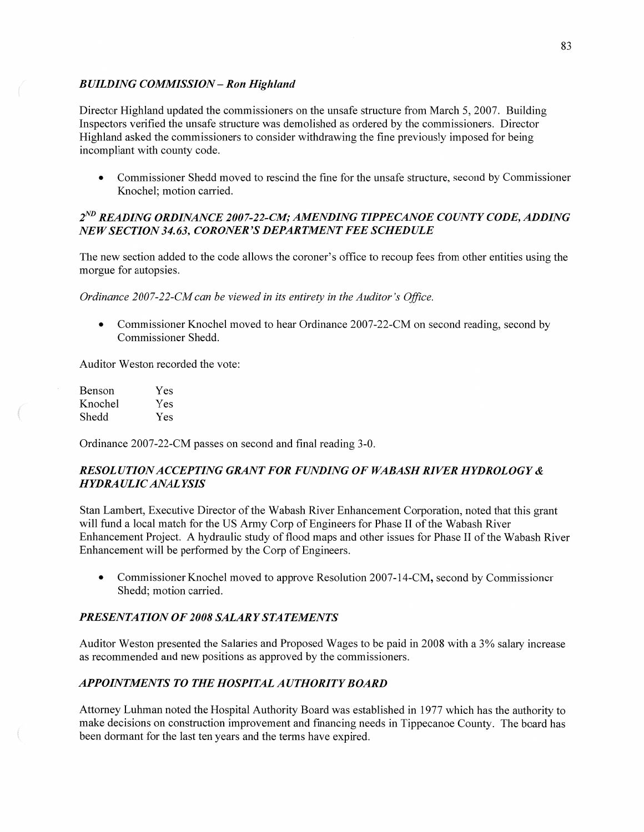## *BUILDING COMMISSION* — Ron *Highland*

Director Highland updated the commissioners on the unsafe structure from March 5, 2007. Building Inspectors verified the unsafe structure was demolished as ordered by the commissioners. Director Highland asked the commissioners to consider withdrawing the fine previously imposed for being incompliant with county code.

**0** Commissioner Shedd moved to rescind the fine for the unsafe structure, second by Commissioner Knochel; motion carried.

# 2<sup>ND</sup> READING ORDINANCE 2007-22-CM; AMENDING TIPPECANOE COUNTY CODE, ADDING NEW *SECTION 34.63, CORONER'S DEPARTMENT* FEE *SCHEDULE*

The new section added to the code allows the coroner's office to recoup fees from other entities using the morgue for autopsies.

*Ordinance 2007—22-CM* can be *viewed* in its *entirety* in the *Auditor* 's *Oflice.* 

• Commissioner Knochel moved to hear Ordinance 2007-22-CM on second reading, second by Commissioner Shedd.

Auditor Weston recorded the vote:

Benson Yes Knochel Yes<br>Shedd Yes Shedd

Ordinance 2007-22—CM passes on second and final reading 3—0.

# *RESOLUTION ACCEPTING GRANT* FOR *FUNDING* 0F *WABASH RIVER H YDROLOGY &*   $HYDRAULIC ANAL YSIS$

Stan Lambert, Executive Director of the Wabash River Enhancement Corporation, noted that this grant will fund a local match for the US Army Corp of Engineers for Phase II of the Wabash River Enhancement Project. **A** hydraulic study of flood maps and other issues for Phase II of the Wabash River Enhancement Will be performed by the Corp of Engineers.

• Commissioner Knochel moved to approve Resolution 2007-14-CM, second by Commissioner Shedd; motion carried.

### *PRESENTATION* OF *2008 SALARY STATEMENTS*

Auditor Weston presented the Salaries and Proposed Wages to be paid in 2008 with a 3% salary increase as recommended and new positions as approved by the commissioners.

# *APPOINTMENTS* TO THE *HOSPITAL A* UTH *ORITY BOARD*

Attorney Luhman noted the Hospital Authority Board was established in 1977 which has the authority to make decisions on construction improvement and financing needs in Tippecanoe County. The board has been dormant for the last ten years and the terms have expired.